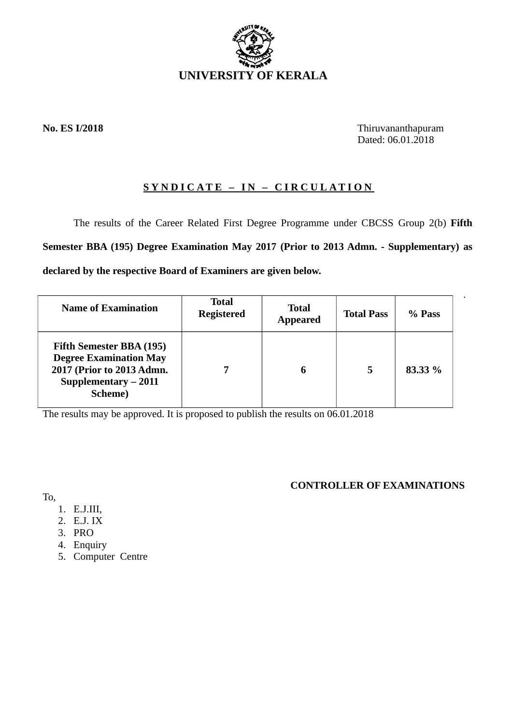

**No. ES I/2018** Thiruvananthapuram Dated: 06.01.2018

.

# **SYNDICATE – IN – CIRCULATION**

The results of the Career Related First Degree Programme under CBCSS Group 2(b) **Fifth Semester BBA (195) Degree Examination May 2017 (Prior to 2013 Admn. - Supplementary) as declared by the respective Board of Examiners are given below.**

| <b>Name of Examination</b>                                                                                                       | <b>Total</b><br><b>Registered</b> | <b>Total</b><br><b>Appeared</b> | <b>Total Pass</b> | % Pass  |
|----------------------------------------------------------------------------------------------------------------------------------|-----------------------------------|---------------------------------|-------------------|---------|
| Fifth Semester BBA (195)<br><b>Degree Examination May</b><br>2017 (Prior to 2013 Admn.<br>Supplementary - 2011<br><b>Scheme)</b> |                                   |                                 | 5                 | 83.33 % |

The results may be approved. It is proposed to publish the results on 06.01.2018

# **CONTROLLER OF EXAMINATIONS**

To,

- 1. E.J.III,
- 2. E.J. IX
- 3. PRO
- 4. Enquiry
- 5. Computer Centre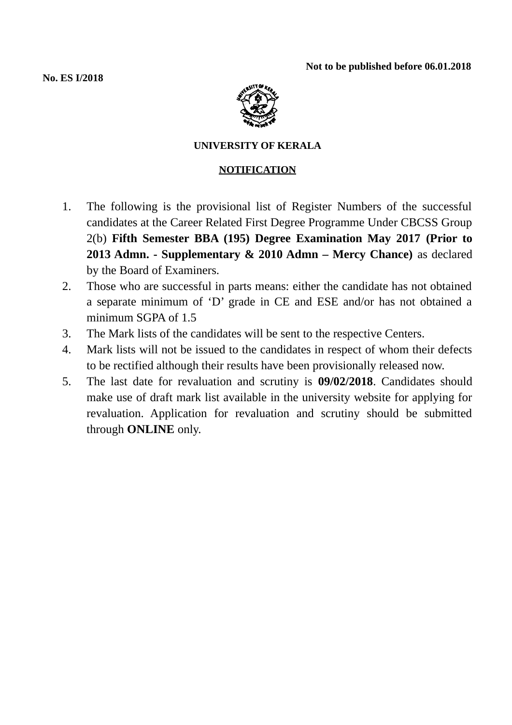**Not to be published before 06.01.2018**

**No. ES I/2018**



## **UNIVERSITY OF KERALA**

## **NOTIFICATION**

- 1. The following is the provisional list of Register Numbers of the successful candidates at the Career Related First Degree Programme Under CBCSS Group 2(b) **Fifth Semester BBA (195) Degree Examination May 2017 (Prior to 2013 Admn. - Supplementary & 2010 Admn – Mercy Chance)** as declared by the Board of Examiners.
- 2. Those who are successful in parts means: either the candidate has not obtained a separate minimum of 'D' grade in CE and ESE and/or has not obtained a minimum SGPA of 1.5
- 3. The Mark lists of the candidates will be sent to the respective Centers.
- 4. Mark lists will not be issued to the candidates in respect of whom their defects to be rectified although their results have been provisionally released now.
- 5. The last date for revaluation and scrutiny is **09/02/2018**. Candidates should make use of draft mark list available in the university website for applying for revaluation. Application for revaluation and scrutiny should be submitted through **ONLINE** only.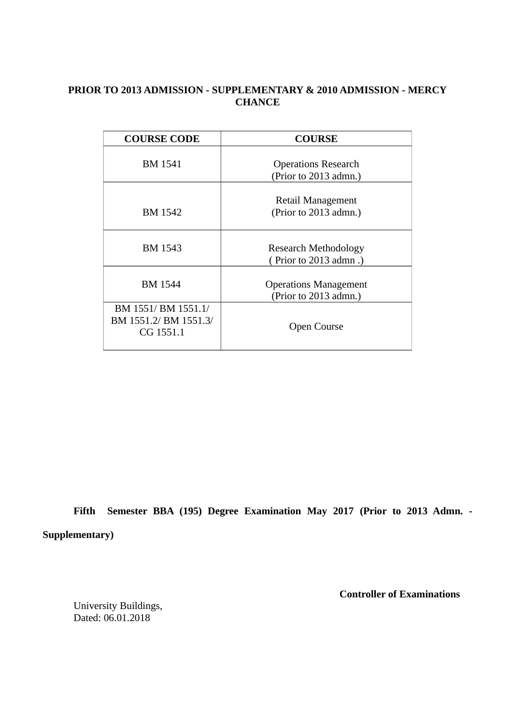## **PRIOR TO 2013 ADMISSION - SUPPLEMENTARY & 2010 ADMISSION - MERCY CHANCE**

| <b>COURSE CODE</b>                                        | <b>COURSE</b>                                         |  |  |
|-----------------------------------------------------------|-------------------------------------------------------|--|--|
| BM 1541                                                   | <b>Operations Research</b><br>(Prior to 2013 admn.)   |  |  |
| BM 1542                                                   | Retail Management<br>(Prior to 2013 admn.)            |  |  |
| BM 1543                                                   | <b>Research Methodology</b><br>(Prior to 2013 admn.)  |  |  |
| <b>BM</b> 1544                                            | <b>Operations Management</b><br>(Prior to 2013 admn.) |  |  |
| BM 1551/ BM 1551.1/<br>BM 1551.2/ BM 1551.3/<br>CG 1551.1 | <b>Open Course</b>                                    |  |  |

**Fifth Semester BBA (195) Degree Examination May 2017 (Prior to 2013 Admn. - Supplementary)**

University Buildings, Dated: 06.01.2018

 **Controller of Examinations**